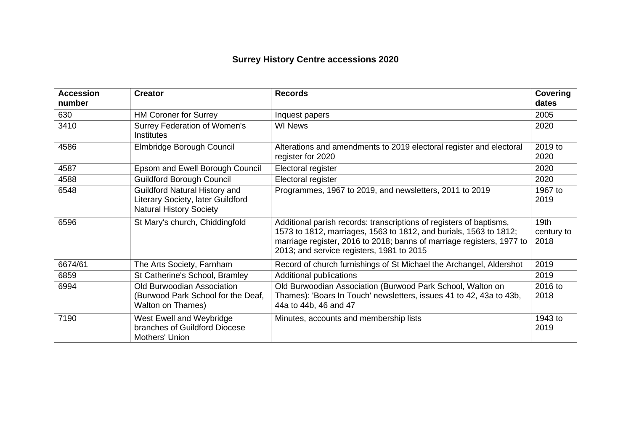## **Surrey History Centre accessions 2020**

| <b>Accession</b><br>number | <b>Creator</b>                                                                                              | <b>Records</b>                                                                                                                                                                                                                                                 | <b>Covering</b><br>dates   |
|----------------------------|-------------------------------------------------------------------------------------------------------------|----------------------------------------------------------------------------------------------------------------------------------------------------------------------------------------------------------------------------------------------------------------|----------------------------|
| 630                        | <b>HM Coroner for Surrey</b>                                                                                | Inquest papers                                                                                                                                                                                                                                                 | 2005                       |
| 3410                       | <b>Surrey Federation of Women's</b><br><b>Institutes</b>                                                    | <b>WI News</b>                                                                                                                                                                                                                                                 | 2020                       |
| 4586                       | Elmbridge Borough Council                                                                                   | Alterations and amendments to 2019 electoral register and electoral<br>register for 2020                                                                                                                                                                       | 2019 to<br>2020            |
| 4587                       | Epsom and Ewell Borough Council                                                                             | Electoral register                                                                                                                                                                                                                                             | 2020                       |
| 4588                       | <b>Guildford Borough Council</b>                                                                            | Electoral register                                                                                                                                                                                                                                             | 2020                       |
| 6548                       | <b>Guildford Natural History and</b><br>Literary Society, later Guildford<br><b>Natural History Society</b> | Programmes, 1967 to 2019, and newsletters, 2011 to 2019                                                                                                                                                                                                        | 1967 to<br>2019            |
| 6596                       | St Mary's church, Chiddingfold                                                                              | Additional parish records: transcriptions of registers of baptisms,<br>1573 to 1812, marriages, 1563 to 1812, and burials, 1563 to 1812;<br>marriage register, 2016 to 2018; banns of marriage registers, 1977 to<br>2013; and service registers, 1981 to 2015 | 19th<br>century to<br>2018 |
| 6674/61                    | The Arts Society, Farnham                                                                                   | Record of church furnishings of St Michael the Archangel, Aldershot                                                                                                                                                                                            | 2019                       |
| 6859                       | St Catherine's School, Bramley                                                                              | Additional publications                                                                                                                                                                                                                                        | 2019                       |
| 6994                       | <b>Old Burwoodian Association</b><br>(Burwood Park School for the Deaf,<br><b>Walton on Thames)</b>         | Old Burwoodian Association (Burwood Park School, Walton on<br>Thames): 'Boars In Touch' newsletters, issues 41 to 42, 43a to 43b,<br>44a to 44b, 46 and 47                                                                                                     | 2016 to<br>2018            |
| 7190                       | West Ewell and Weybridge<br>branches of Guildford Diocese<br>Mothers' Union                                 | Minutes, accounts and membership lists                                                                                                                                                                                                                         | 1943 to<br>2019            |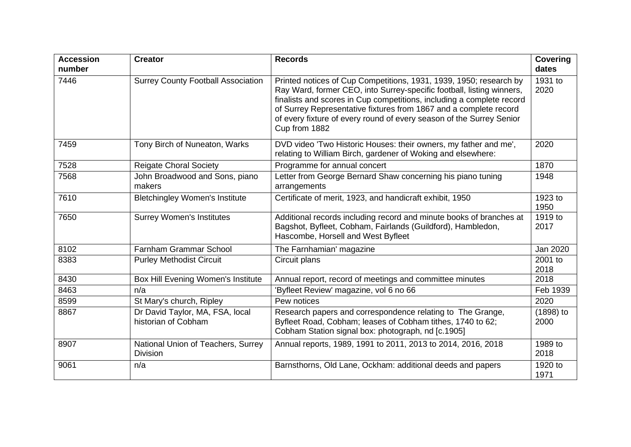| <b>Accession</b><br>number | <b>Creator</b>                                         | <b>Records</b>                                                                                                                                                                                                                                                                                                                                                                     | <b>Covering</b><br>dates |
|----------------------------|--------------------------------------------------------|------------------------------------------------------------------------------------------------------------------------------------------------------------------------------------------------------------------------------------------------------------------------------------------------------------------------------------------------------------------------------------|--------------------------|
| 7446                       | <b>Surrey County Football Association</b>              | Printed notices of Cup Competitions, 1931, 1939, 1950; research by<br>Ray Ward, former CEO, into Surrey-specific football, listing winners,<br>finalists and scores in Cup competitions, including a complete record<br>of Surrey Representative fixtures from 1867 and a complete record<br>of every fixture of every round of every season of the Surrey Senior<br>Cup from 1882 | 1931 to<br>2020          |
| 7459                       | Tony Birch of Nuneaton, Warks                          | DVD video 'Two Historic Houses: their owners, my father and me',<br>relating to William Birch, gardener of Woking and elsewhere:                                                                                                                                                                                                                                                   | 2020                     |
| 7528                       | <b>Reigate Choral Society</b>                          | Programme for annual concert                                                                                                                                                                                                                                                                                                                                                       | 1870                     |
| 7568                       | John Broadwood and Sons, piano<br>makers               | Letter from George Bernard Shaw concerning his piano tuning<br>arrangements                                                                                                                                                                                                                                                                                                        | 1948                     |
| 7610                       | <b>Bletchingley Women's Institute</b>                  | Certificate of merit, 1923, and handicraft exhibit, 1950                                                                                                                                                                                                                                                                                                                           | 1923 to<br>1950          |
| 7650                       | <b>Surrey Women's Institutes</b>                       | Additional records including record and minute books of branches at<br>Bagshot, Byfleet, Cobham, Fairlands (Guildford), Hambledon,<br>Hascombe, Horsell and West Byfleet                                                                                                                                                                                                           | 1919 to<br>2017          |
| 8102                       | <b>Farnham Grammar School</b>                          | The Farnhamian' magazine                                                                                                                                                                                                                                                                                                                                                           | Jan 2020                 |
| 8383                       | <b>Purley Methodist Circuit</b>                        | Circuit plans                                                                                                                                                                                                                                                                                                                                                                      | 2001 to<br>2018          |
| 8430                       | Box Hill Evening Women's Institute                     | Annual report, record of meetings and committee minutes                                                                                                                                                                                                                                                                                                                            | 2018                     |
| 8463                       | n/a                                                    | Byfleet Review' magazine, vol 6 no 66                                                                                                                                                                                                                                                                                                                                              | Feb 1939                 |
| 8599                       | St Mary's church, Ripley                               | Pew notices                                                                                                                                                                                                                                                                                                                                                                        | 2020                     |
| 8867                       | Dr David Taylor, MA, FSA, local<br>historian of Cobham | Research papers and correspondence relating to The Grange,<br>Byfleet Road, Cobham; leases of Cobham tithes, 1740 to 62;<br>Cobham Station signal box: photograph, nd [c.1905]                                                                                                                                                                                                     | $(1898)$ to<br>2000      |
| 8907                       | National Union of Teachers, Surrey<br><b>Division</b>  | Annual reports, 1989, 1991 to 2011, 2013 to 2014, 2016, 2018                                                                                                                                                                                                                                                                                                                       | 1989 to<br>2018          |
| 9061                       | n/a                                                    | Barnsthorns, Old Lane, Ockham: additional deeds and papers                                                                                                                                                                                                                                                                                                                         | 1920 to<br>1971          |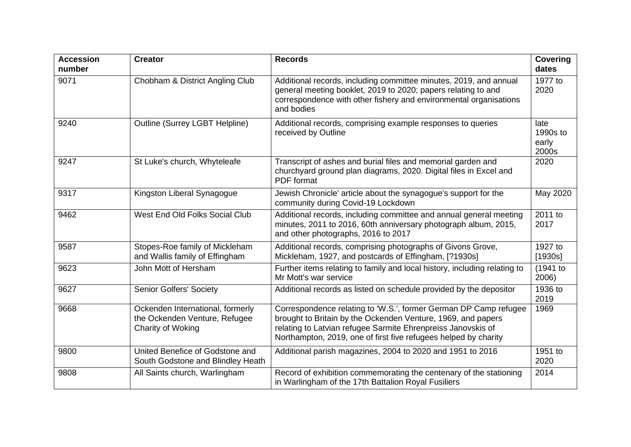| <b>Accession</b><br>number | <b>Creator</b>                                                                         | <b>Records</b>                                                                                                                                                                                                                                                      | <b>Covering</b><br>dates           |
|----------------------------|----------------------------------------------------------------------------------------|---------------------------------------------------------------------------------------------------------------------------------------------------------------------------------------------------------------------------------------------------------------------|------------------------------------|
| 9071                       | Chobham & District Angling Club                                                        | Additional records, including committee minutes, 2019, and annual<br>general meeting booklet, 2019 to 2020; papers relating to and<br>correspondence with other fishery and environmental organisations<br>and bodies                                               | 1977 to<br>2020                    |
| 9240                       | Outline (Surrey LGBT Helpline)                                                         | Additional records, comprising example responses to queries<br>received by Outline                                                                                                                                                                                  | late<br>1990s to<br>early<br>2000s |
| 9247                       | St Luke's church, Whyteleafe                                                           | Transcript of ashes and burial files and memorial garden and<br>churchyard ground plan diagrams, 2020. Digital files in Excel and<br>PDF format                                                                                                                     | 2020                               |
| 9317                       | Kingston Liberal Synagogue                                                             | Jewish Chronicle' article about the synagogue's support for the<br>community during Covid-19 Lockdown                                                                                                                                                               | May 2020                           |
| 9462                       | West End Old Folks Social Club                                                         | Additional records, including committee and annual general meeting<br>minutes, 2011 to 2016, 60th anniversary photograph album, 2015,<br>and other photographs, 2016 to 2017                                                                                        | 2011 to<br>2017                    |
| 9587                       | Stopes-Roe family of Mickleham<br>and Wallis family of Effingham                       | Additional records, comprising photographs of Givons Grove,<br>Mickleham, 1927, and postcards of Effingham, [?1930s]                                                                                                                                                | 1927 to<br>[1930s]                 |
| 9623                       | John Mott of Hersham                                                                   | Further items relating to family and local history, including relating to<br>Mr Mott's war service                                                                                                                                                                  | $(1941$ to<br>2006)                |
| 9627                       | <b>Senior Golfers' Society</b>                                                         | Additional records as listed on schedule provided by the depositor                                                                                                                                                                                                  | $\overline{1936}$ to<br>2019       |
| 9668                       | Ockenden International, formerly<br>the Ockenden Venture, Refugee<br>Charity of Woking | Correspondence relating to 'W.S.', former German DP Camp refugee<br>brought to Britain by the Ockenden Venture, 1969, and papers<br>relating to Latvian refugee Sarmite Ehrenpreiss Janovskis of<br>Northampton, 2019, one of first five refugees helped by charity | 1969                               |
| 9800                       | United Benefice of Godstone and<br>South Godstone and Blindley Heath                   | Additional parish magazines, 2004 to 2020 and 1951 to 2016                                                                                                                                                                                                          | 1951 to<br>2020                    |
| 9808                       | All Saints church, Warlingham                                                          | Record of exhibition commemorating the centenary of the stationing<br>in Warlingham of the 17th Battalion Royal Fusiliers                                                                                                                                           | 2014                               |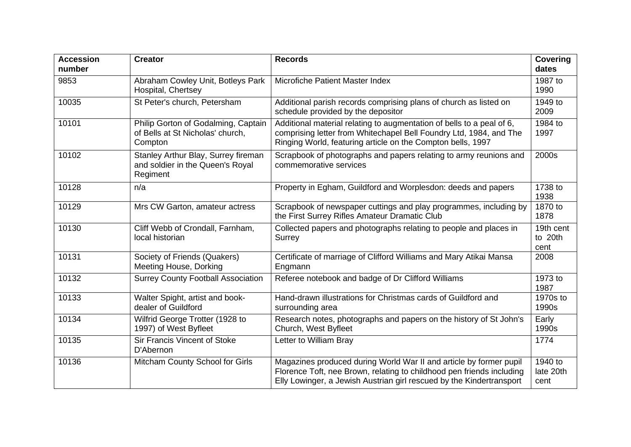| <b>Accession</b><br>number | <b>Creator</b>                                                                      | <b>Records</b>                                                                                                                                                                                                      | <b>Covering</b><br>dates     |
|----------------------------|-------------------------------------------------------------------------------------|---------------------------------------------------------------------------------------------------------------------------------------------------------------------------------------------------------------------|------------------------------|
| 9853                       | Abraham Cowley Unit, Botleys Park<br>Hospital, Chertsey                             | Microfiche Patient Master Index                                                                                                                                                                                     | 1987 to<br>1990              |
| 10035                      | St Peter's church, Petersham                                                        | Additional parish records comprising plans of church as listed on<br>schedule provided by the depositor                                                                                                             | 1949 to<br>2009              |
| 10101                      | Philip Gorton of Godalming, Captain<br>of Bells at St Nicholas' church,<br>Compton  | Additional material relating to augmentation of bells to a peal of 6,<br>comprising letter from Whitechapel Bell Foundry Ltd, 1984, and The<br>Ringing World, featuring article on the Compton bells, 1997          | 1984 to<br>1997              |
| 10102                      | Stanley Arthur Blay, Surrey fireman<br>and soldier in the Queen's Royal<br>Regiment | Scrapbook of photographs and papers relating to army reunions and<br>commemorative services                                                                                                                         | 2000s                        |
| 10128                      | n/a                                                                                 | Property in Egham, Guildford and Worplesdon: deeds and papers                                                                                                                                                       | 1738 to<br>1938              |
| 10129                      | Mrs CW Garton, amateur actress                                                      | Scrapbook of newspaper cuttings and play programmes, including by<br>the First Surrey Rifles Amateur Dramatic Club                                                                                                  | 1870 to<br>1878              |
| 10130                      | Cliff Webb of Crondall, Farnham,<br>local historian                                 | Collected papers and photographs relating to people and places in<br>Surrey                                                                                                                                         | 19th cent<br>to 20th<br>cent |
| 10131                      | Society of Friends (Quakers)<br>Meeting House, Dorking                              | Certificate of marriage of Clifford Williams and Mary Atikai Mansa<br>Engmann                                                                                                                                       | 2008                         |
| 10132                      | <b>Surrey County Football Association</b>                                           | Referee notebook and badge of Dr Clifford Williams                                                                                                                                                                  | 1973 to<br>1987              |
| 10133                      | Walter Spight, artist and book-<br>dealer of Guildford                              | Hand-drawn illustrations for Christmas cards of Guildford and<br>surrounding area                                                                                                                                   | 1970s to<br>1990s            |
| 10134                      | Wilfrid George Trotter (1928 to<br>1997) of West Byfleet                            | Research notes, photographs and papers on the history of St John's<br>Church, West Byfleet                                                                                                                          | Early<br>1990s               |
| 10135                      | Sir Francis Vincent of Stoke<br>D'Abernon                                           | Letter to William Bray                                                                                                                                                                                              | 1774                         |
| 10136                      | Mitcham County School for Girls                                                     | Magazines produced during World War II and article by former pupil<br>Florence Toft, nee Brown, relating to childhood pen friends including<br>Elly Lowinger, a Jewish Austrian girl rescued by the Kindertransport | 1940 to<br>late 20th<br>cent |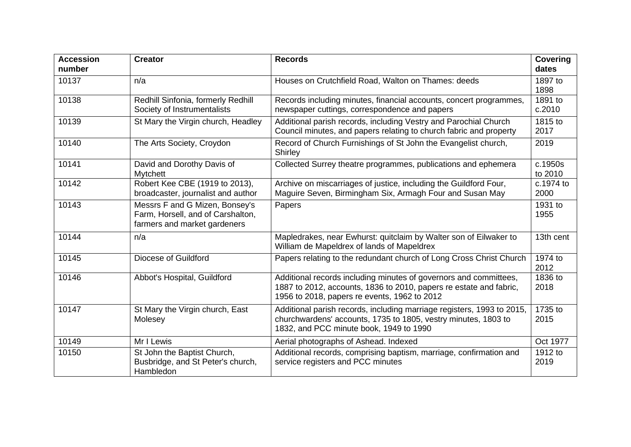| <b>Accession</b><br>number | <b>Creator</b>                                                                                      | <b>Records</b>                                                                                                                                                                          | Covering<br>dates  |
|----------------------------|-----------------------------------------------------------------------------------------------------|-----------------------------------------------------------------------------------------------------------------------------------------------------------------------------------------|--------------------|
| 10137                      | n/a                                                                                                 | Houses on Crutchfield Road, Walton on Thames: deeds                                                                                                                                     | 1897 to<br>1898    |
| 10138                      | Redhill Sinfonia, formerly Redhill<br>Society of Instrumentalists                                   | Records including minutes, financial accounts, concert programmes,<br>newspaper cuttings, correspondence and papers                                                                     | 1891 to<br>c.2010  |
| 10139                      | St Mary the Virgin church, Headley                                                                  | Additional parish records, including Vestry and Parochial Church<br>Council minutes, and papers relating to church fabric and property                                                  | 1815 to<br>2017    |
| 10140                      | The Arts Society, Croydon                                                                           | Record of Church Furnishings of St John the Evangelist church,<br>Shirley                                                                                                               | 2019               |
| 10141                      | David and Dorothy Davis of<br><b>Mytchett</b>                                                       | Collected Surrey theatre programmes, publications and ephemera                                                                                                                          | c.1950s<br>to 2010 |
| 10142                      | Robert Kee CBE (1919 to 2013),<br>broadcaster, journalist and author                                | Archive on miscarriages of justice, including the Guildford Four,<br>Maguire Seven, Birmingham Six, Armagh Four and Susan May                                                           | c.1974 to<br>2000  |
| 10143                      | Messrs F and G Mizen, Bonsey's<br>Farm, Horsell, and of Carshalton,<br>farmers and market gardeners | Papers                                                                                                                                                                                  | 1931 to<br>1955    |
| 10144                      | n/a                                                                                                 | Mapledrakes, near Ewhurst: quitclaim by Walter son of Eilwaker to<br>William de Mapeldrex of lands of Mapeldrex                                                                         | 13th cent          |
| 10145                      | Diocese of Guildford                                                                                | Papers relating to the redundant church of Long Cross Christ Church                                                                                                                     | 1974 to<br>2012    |
| 10146                      | Abbot's Hospital, Guildford                                                                         | Additional records including minutes of governors and committees,<br>1887 to 2012, accounts, 1836 to 2010, papers re estate and fabric,<br>1956 to 2018, papers re events, 1962 to 2012 | 1836 to<br>2018    |
| 10147                      | St Mary the Virgin church, East<br>Molesey                                                          | Additional parish records, including marriage registers, 1993 to 2015,<br>churchwardens' accounts, 1735 to 1805, vestry minutes, 1803 to<br>1832, and PCC minute book, 1949 to 1990     | 1735 to<br>2015    |
| 10149                      | Mr I Lewis                                                                                          | Aerial photographs of Ashead. Indexed                                                                                                                                                   | Oct 1977           |
| 10150                      | St John the Baptist Church,<br>Busbridge, and St Peter's church,<br>Hambledon                       | Additional records, comprising baptism, marriage, confirmation and<br>service registers and PCC minutes                                                                                 | 1912 to<br>2019    |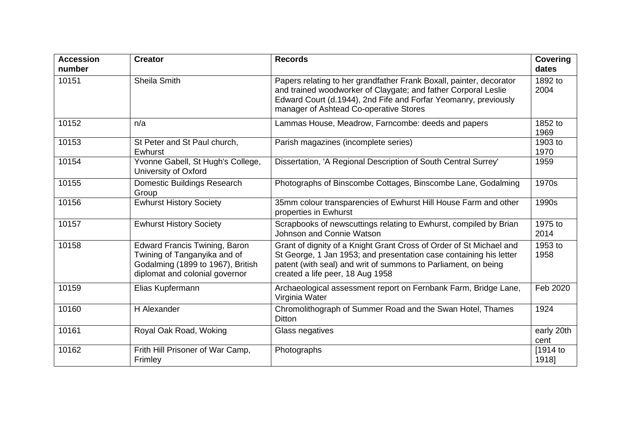| <b>Accession</b><br>number | <b>Creator</b>                                                                                                                              | <b>Records</b>                                                                                                                                                                                                                                     | <b>Covering</b><br>dates |
|----------------------------|---------------------------------------------------------------------------------------------------------------------------------------------|----------------------------------------------------------------------------------------------------------------------------------------------------------------------------------------------------------------------------------------------------|--------------------------|
| 10151                      | Sheila Smith                                                                                                                                | Papers relating to her grandfather Frank Boxall, painter, decorator<br>and trained woodworker of Claygate; and father Corporal Leslie<br>Edward Court (d.1944), 2nd Fife and Forfar Yeomanry, previously<br>manager of Ashtead Co-operative Stores | 1892 to<br>2004          |
| 10152                      | n/a                                                                                                                                         | Lammas House, Meadrow, Farncombe: deeds and papers                                                                                                                                                                                                 | 1852 to<br>1969          |
| 10153                      | St Peter and St Paul church,<br>Ewhurst                                                                                                     | Parish magazines (incomplete series)                                                                                                                                                                                                               | 1903 to<br>1970          |
| 10154                      | Yvonne Gabell, St Hugh's College,<br>University of Oxford                                                                                   | Dissertation, 'A Regional Description of South Central Surrey'                                                                                                                                                                                     | 1959                     |
| 10155                      | Domestic Buildings Research<br>Group                                                                                                        | Photographs of Binscombe Cottages, Binscombe Lane, Godalming                                                                                                                                                                                       | 1970s                    |
| 10156                      | <b>Ewhurst History Society</b>                                                                                                              | 35mm colour transparencies of Ewhurst Hill House Farm and other<br>properties in Ewhurst                                                                                                                                                           | 1990s                    |
| 10157                      | <b>Ewhurst History Society</b>                                                                                                              | Scrapbooks of newscuttings relating to Ewhurst, compiled by Brian<br>Johnson and Connie Watson                                                                                                                                                     | 1975 to<br>2014          |
| 10158                      | <b>Edward Francis Twining, Baron</b><br>Twining of Tanganyika and of<br>Godalming (1899 to 1967), British<br>diplomat and colonial governor | Grant of dignity of a Knight Grant Cross of Order of St Michael and<br>St George, 1 Jan 1953; and presentation case containing his letter<br>patent (with seal) and writ of summons to Parliament, on being<br>created a life peer, 18 Aug 1958    | 1953 to<br>1958          |
| 10159                      | Elias Kupfermann                                                                                                                            | Archaeological assessment report on Fernbank Farm, Bridge Lane,<br>Virginia Water                                                                                                                                                                  | Feb 2020                 |
| 10160                      | H Alexander                                                                                                                                 | Chromolithograph of Summer Road and the Swan Hotel, Thames<br><b>Ditton</b>                                                                                                                                                                        | 1924                     |
| 10161                      | Royal Oak Road, Woking                                                                                                                      | Glass negatives                                                                                                                                                                                                                                    | early 20th<br>cent       |
| 10162                      | Frith Hill Prisoner of War Camp,<br>Frimley                                                                                                 | Photographs                                                                                                                                                                                                                                        | [1914 to<br>1918]        |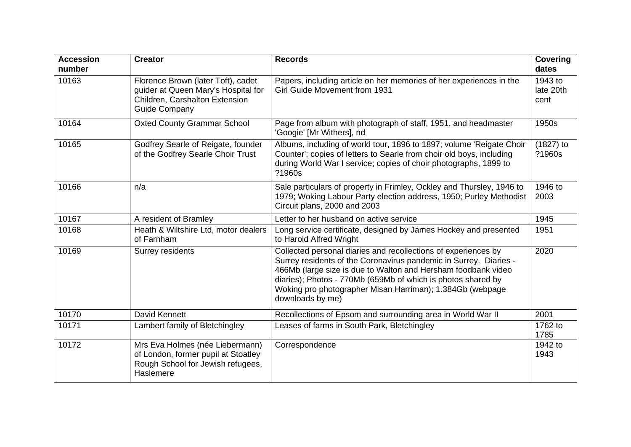| <b>Accession</b><br>number | <b>Creator</b>                                                                                                                      | <b>Records</b>                                                                                                                                                                                                                                                                                                                                        | <b>Covering</b><br>dates     |
|----------------------------|-------------------------------------------------------------------------------------------------------------------------------------|-------------------------------------------------------------------------------------------------------------------------------------------------------------------------------------------------------------------------------------------------------------------------------------------------------------------------------------------------------|------------------------------|
| 10163                      | Florence Brown (later Toft), cadet<br>guider at Queen Mary's Hospital for<br>Children, Carshalton Extension<br><b>Guide Company</b> | Papers, including article on her memories of her experiences in the<br><b>Girl Guide Movement from 1931</b>                                                                                                                                                                                                                                           | 1943 to<br>late 20th<br>cent |
| 10164                      | <b>Oxted County Grammar School</b>                                                                                                  | Page from album with photograph of staff, 1951, and headmaster<br>'Googie' [Mr Withers], nd                                                                                                                                                                                                                                                           | 1950s                        |
| 10165                      | Godfrey Searle of Reigate, founder<br>of the Godfrey Searle Choir Trust                                                             | Albums, including of world tour, 1896 to 1897; volume 'Reigate Choir<br>Counter'; copies of letters to Searle from choir old boys, including<br>during World War I service; copies of choir photographs, 1899 to<br>?1960s                                                                                                                            | $(1827)$ to<br>?1960s        |
| 10166                      | n/a                                                                                                                                 | Sale particulars of property in Frimley, Ockley and Thursley, 1946 to<br>1979; Woking Labour Party election address, 1950; Purley Methodist<br>Circuit plans, 2000 and 2003                                                                                                                                                                           | 1946 to<br>2003              |
| 10167                      | A resident of Bramley                                                                                                               | Letter to her husband on active service                                                                                                                                                                                                                                                                                                               | 1945                         |
| 10168                      | Heath & Wiltshire Ltd, motor dealers<br>of Farnham                                                                                  | Long service certificate, designed by James Hockey and presented<br>to Harold Alfred Wright                                                                                                                                                                                                                                                           | 1951                         |
| 10169                      | Surrey residents                                                                                                                    | Collected personal diaries and recollections of experiences by<br>Surrey residents of the Coronavirus pandemic in Surrey. Diaries -<br>466Mb (large size is due to Walton and Hersham foodbank video<br>diaries); Photos - 770Mb (659Mb of which is photos shared by<br>Woking pro photographer Misan Harriman); 1.384Gb (webpage<br>downloads by me) | 2020                         |
| 10170                      | David Kennett                                                                                                                       | Recollections of Epsom and surrounding area in World War II                                                                                                                                                                                                                                                                                           | 2001                         |
| 10171                      | Lambert family of Bletchingley                                                                                                      | Leases of farms in South Park, Bletchingley                                                                                                                                                                                                                                                                                                           | 1762 to<br>1785              |
| 10172                      | Mrs Eva Holmes (née Liebermann)<br>of London, former pupil at Stoatley<br>Rough School for Jewish refugees,<br>Haslemere            | Correspondence                                                                                                                                                                                                                                                                                                                                        | 1942 to<br>1943              |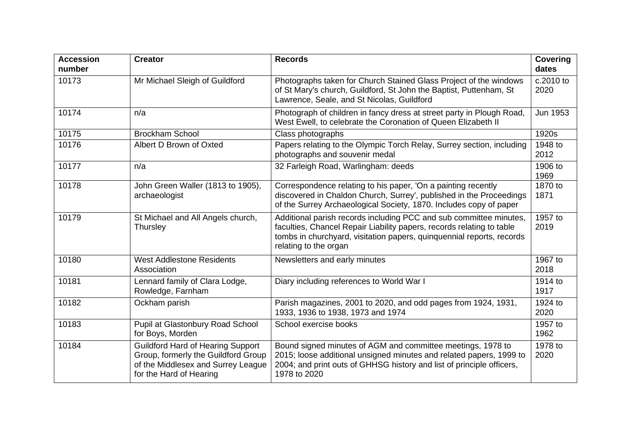| <b>Accession</b><br>number | <b>Creator</b>                                                                                                                                   | <b>Records</b>                                                                                                                                                                                                                                | <b>Covering</b><br>dates |
|----------------------------|--------------------------------------------------------------------------------------------------------------------------------------------------|-----------------------------------------------------------------------------------------------------------------------------------------------------------------------------------------------------------------------------------------------|--------------------------|
| 10173                      | Mr Michael Sleigh of Guildford                                                                                                                   | Photographs taken for Church Stained Glass Project of the windows<br>of St Mary's church, Guildford, St John the Baptist, Puttenham, St<br>Lawrence, Seale, and St Nicolas, Guildford                                                         | c.2010 to<br>2020        |
| 10174                      | n/a                                                                                                                                              | Photograph of children in fancy dress at street party in Plough Road,<br>West Ewell, to celebrate the Coronation of Queen Elizabeth II                                                                                                        | Jun 1953                 |
| 10175                      | <b>Brockham School</b>                                                                                                                           | Class photographs                                                                                                                                                                                                                             | 1920s                    |
| 10176                      | Albert D Brown of Oxted                                                                                                                          | Papers relating to the Olympic Torch Relay, Surrey section, including<br>photographs and souvenir medal                                                                                                                                       | 1948 to<br>2012          |
| 10177                      | n/a                                                                                                                                              | 32 Farleigh Road, Warlingham: deeds                                                                                                                                                                                                           | 1906 to<br>1969          |
| 10178                      | John Green Waller (1813 to 1905),<br>archaeologist                                                                                               | Correspondence relating to his paper, 'On a painting recently<br>discovered in Chaldon Church, Surrey', published in the Proceedings<br>of the Surrey Archaeological Society, 1870. Includes copy of paper                                    | 1870 to<br>1871          |
| 10179                      | St Michael and All Angels church,<br>Thursley                                                                                                    | Additional parish records including PCC and sub committee minutes,<br>faculties, Chancel Repair Liability papers, records relating to table<br>tombs in churchyard, visitation papers, quinquennial reports, records<br>relating to the organ | 1957 to<br>2019          |
| 10180                      | <b>West Addlestone Residents</b><br>Association                                                                                                  | Newsletters and early minutes                                                                                                                                                                                                                 | 1967 to<br>2018          |
| 10181                      | Lennard family of Clara Lodge,<br>Rowledge, Farnham                                                                                              | Diary including references to World War I                                                                                                                                                                                                     | 1914 to<br>1917          |
| 10182                      | Ockham parish                                                                                                                                    | Parish magazines, 2001 to 2020, and odd pages from 1924, 1931,<br>1933, 1936 to 1938, 1973 and 1974                                                                                                                                           | 1924 to<br>2020          |
| 10183                      | Pupil at Glastonbury Road School<br>for Boys, Morden                                                                                             | School exercise books                                                                                                                                                                                                                         | 1957 to<br>1962          |
| 10184                      | <b>Guildford Hard of Hearing Support</b><br>Group, formerly the Guildford Group<br>of the Middlesex and Surrey League<br>for the Hard of Hearing | Bound signed minutes of AGM and committee meetings, 1978 to<br>2015; loose additional unsigned minutes and related papers, 1999 to<br>2004; and print outs of GHHSG history and list of principle officers,<br>1978 to 2020                   | 1978 to<br>2020          |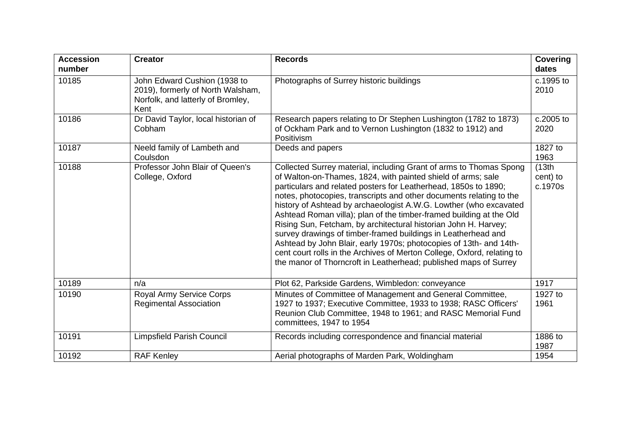| <b>Accession</b><br>number | <b>Creator</b>                                                                                                 | <b>Records</b>                                                                                                                                                                                                                                                                                                                                                                                                                                                                                                                                                                                                                                                                                                                                                                    | <b>Covering</b><br>dates      |
|----------------------------|----------------------------------------------------------------------------------------------------------------|-----------------------------------------------------------------------------------------------------------------------------------------------------------------------------------------------------------------------------------------------------------------------------------------------------------------------------------------------------------------------------------------------------------------------------------------------------------------------------------------------------------------------------------------------------------------------------------------------------------------------------------------------------------------------------------------------------------------------------------------------------------------------------------|-------------------------------|
| 10185                      | John Edward Cushion (1938 to<br>2019), formerly of North Walsham,<br>Norfolk, and latterly of Bromley,<br>Kent | Photographs of Surrey historic buildings                                                                                                                                                                                                                                                                                                                                                                                                                                                                                                                                                                                                                                                                                                                                          | c.1995 to<br>2010             |
| 10186                      | Dr David Taylor, local historian of<br>Cobham                                                                  | Research papers relating to Dr Stephen Lushington (1782 to 1873)<br>of Ockham Park and to Vernon Lushington (1832 to 1912) and<br>Positivism                                                                                                                                                                                                                                                                                                                                                                                                                                                                                                                                                                                                                                      | c.2005 to<br>2020             |
| 10187                      | Neeld family of Lambeth and<br>Coulsdon                                                                        | Deeds and papers                                                                                                                                                                                                                                                                                                                                                                                                                                                                                                                                                                                                                                                                                                                                                                  | 1827 to<br>1963               |
| 10188                      | Professor John Blair of Queen's<br>College, Oxford                                                             | Collected Surrey material, including Grant of arms to Thomas Spong<br>of Walton-on-Thames, 1824, with painted shield of arms; sale<br>particulars and related posters for Leatherhead, 1850s to 1890;<br>notes, photocopies, transcripts and other documents relating to the<br>history of Ashtead by archaeologist A.W.G. Lowther (who excavated<br>Ashtead Roman villa); plan of the timber-framed building at the Old<br>Rising Sun, Fetcham, by architectural historian John H. Harvey;<br>survey drawings of timber-framed buildings in Leatherhead and<br>Ashtead by John Blair, early 1970s; photocopies of 13th- and 14th-<br>cent court rolls in the Archives of Merton College, Oxford, relating to<br>the manor of Thorncroft in Leatherhead; published maps of Surrey | (13th)<br>cent) to<br>c.1970s |
| 10189                      | n/a                                                                                                            | Plot 62, Parkside Gardens, Wimbledon: conveyance                                                                                                                                                                                                                                                                                                                                                                                                                                                                                                                                                                                                                                                                                                                                  | 1917                          |
| 10190                      | Royal Army Service Corps<br><b>Regimental Association</b>                                                      | Minutes of Committee of Management and General Committee,<br>1927 to 1937; Executive Committee, 1933 to 1938; RASC Officers'<br>Reunion Club Committee, 1948 to 1961; and RASC Memorial Fund<br>committees, 1947 to 1954                                                                                                                                                                                                                                                                                                                                                                                                                                                                                                                                                          | 1927 to<br>1961               |
| 10191                      | <b>Limpsfield Parish Council</b>                                                                               | Records including correspondence and financial material                                                                                                                                                                                                                                                                                                                                                                                                                                                                                                                                                                                                                                                                                                                           | 1886 to<br>1987               |
| 10192                      | <b>RAF Kenley</b>                                                                                              | Aerial photographs of Marden Park, Woldingham                                                                                                                                                                                                                                                                                                                                                                                                                                                                                                                                                                                                                                                                                                                                     | 1954                          |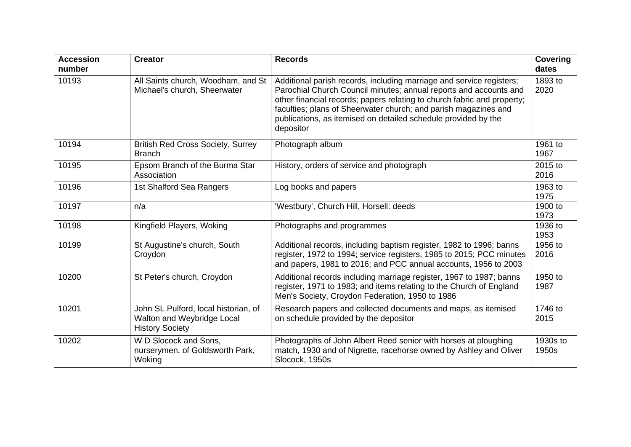| <b>Accession</b><br>number | <b>Creator</b>                                                                               | <b>Records</b>                                                                                                                                                                                                                                                                                                                                                         | <b>Covering</b><br>dates |
|----------------------------|----------------------------------------------------------------------------------------------|------------------------------------------------------------------------------------------------------------------------------------------------------------------------------------------------------------------------------------------------------------------------------------------------------------------------------------------------------------------------|--------------------------|
| 10193                      | All Saints church, Woodham, and St<br>Michael's church, Sheerwater                           | Additional parish records, including marriage and service registers;<br>Parochial Church Council minutes; annual reports and accounts and<br>other financial records; papers relating to church fabric and property;<br>faculties; plans of Sheerwater church; and parish magazines and<br>publications, as itemised on detailed schedule provided by the<br>depositor | 1893 to<br>2020          |
| 10194                      | <b>British Red Cross Society, Surrey</b><br><b>Branch</b>                                    | Photograph album                                                                                                                                                                                                                                                                                                                                                       | 1961 to<br>1967          |
| 10195                      | Epsom Branch of the Burma Star<br>Association                                                | History, orders of service and photograph                                                                                                                                                                                                                                                                                                                              | 2015 to<br>2016          |
| 10196                      | 1st Shalford Sea Rangers                                                                     | Log books and papers                                                                                                                                                                                                                                                                                                                                                   | 1963 to<br>1975          |
| 10197                      | n/a                                                                                          | 'Westbury', Church Hill, Horsell: deeds                                                                                                                                                                                                                                                                                                                                | 1900 to<br>1973          |
| 10198                      | Kingfield Players, Woking                                                                    | Photographs and programmes                                                                                                                                                                                                                                                                                                                                             | 1936 to<br>1953          |
| 10199                      | St Augustine's church, South<br>Croydon                                                      | Additional records, including baptism register, 1982 to 1996; banns<br>register, 1972 to 1994; service registers, 1985 to 2015; PCC minutes<br>and papers, 1981 to 2016; and PCC annual accounts, 1956 to 2003                                                                                                                                                         | 1956 to<br>2016          |
| 10200                      | St Peter's church, Croydon                                                                   | Additional records including marriage register, 1967 to 1987; banns<br>register, 1971 to 1983; and items relating to the Church of England<br>Men's Society, Croydon Federation, 1950 to 1986                                                                                                                                                                          | 1950 to<br>1987          |
| 10201                      | John SL Pulford, local historian, of<br>Walton and Weybridge Local<br><b>History Society</b> | Research papers and collected documents and maps, as itemised<br>on schedule provided by the depositor                                                                                                                                                                                                                                                                 | 1746 to<br>2015          |
| 10202                      | W D Slocock and Sons,<br>nurserymen, of Goldsworth Park,<br>Woking                           | Photographs of John Albert Reed senior with horses at ploughing<br>match, 1930 and of Nigrette, racehorse owned by Ashley and Oliver<br>Slocock, 1950s                                                                                                                                                                                                                 | 1930s to<br>1950s        |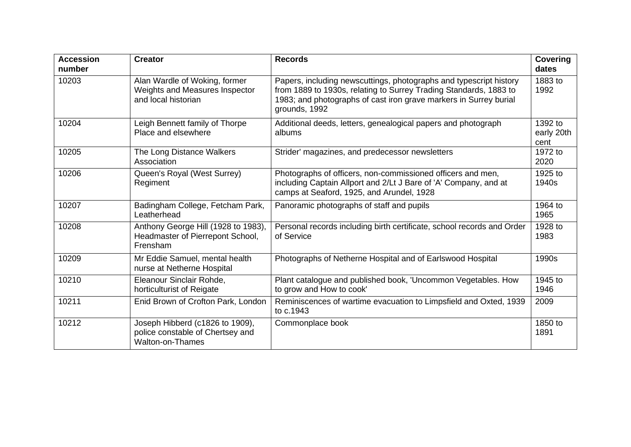| <b>Accession</b><br>number | <b>Creator</b>                                                                                 | <b>Records</b>                                                                                                                                                                                                                | Covering<br>dates             |
|----------------------------|------------------------------------------------------------------------------------------------|-------------------------------------------------------------------------------------------------------------------------------------------------------------------------------------------------------------------------------|-------------------------------|
| 10203                      | Alan Wardle of Woking, former<br>Weights and Measures Inspector<br>and local historian         | Papers, including newscuttings, photographs and typescript history<br>from 1889 to 1930s, relating to Surrey Trading Standards, 1883 to<br>1983; and photographs of cast iron grave markers in Surrey burial<br>grounds, 1992 | 1883 to<br>1992               |
| 10204                      | Leigh Bennett family of Thorpe<br>Place and elsewhere                                          | Additional deeds, letters, genealogical papers and photograph<br>albums                                                                                                                                                       | 1392 to<br>early 20th<br>cent |
| 10205                      | The Long Distance Walkers<br>Association                                                       | Strider' magazines, and predecessor newsletters                                                                                                                                                                               | 1972 to<br>2020               |
| 10206                      | Queen's Royal (West Surrey)<br>Regiment                                                        | Photographs of officers, non-commissioned officers and men,<br>including Captain Allport and 2/Lt J Bare of 'A' Company, and at<br>camps at Seaford, 1925, and Arundel, 1928                                                  | 1925 to<br>1940s              |
| 10207                      | Badingham College, Fetcham Park,<br>Leatherhead                                                | Panoramic photographs of staff and pupils                                                                                                                                                                                     | 1964 to<br>1965               |
| 10208                      | Anthony George Hill (1928 to 1983),<br>Headmaster of Pierrepont School,<br>Frensham            | Personal records including birth certificate, school records and Order<br>of Service                                                                                                                                          | 1928 to<br>1983               |
| 10209                      | Mr Eddie Samuel, mental health<br>nurse at Netherne Hospital                                   | Photographs of Netherne Hospital and of Earlswood Hospital                                                                                                                                                                    | 1990s                         |
| 10210                      | Eleanour Sinclair Rohde,<br>horticulturist of Reigate                                          | Plant catalogue and published book, 'Uncommon Vegetables. How<br>to grow and How to cook'                                                                                                                                     | 1945 to<br>1946               |
| 10211                      | Enid Brown of Crofton Park, London                                                             | Reminiscences of wartime evacuation to Limpsfield and Oxted, 1939<br>to c.1943                                                                                                                                                | 2009                          |
| 10212                      | Joseph Hibberd (c1826 to 1909),<br>police constable of Chertsey and<br><b>Walton-on-Thames</b> | Commonplace book                                                                                                                                                                                                              | 1850 to<br>1891               |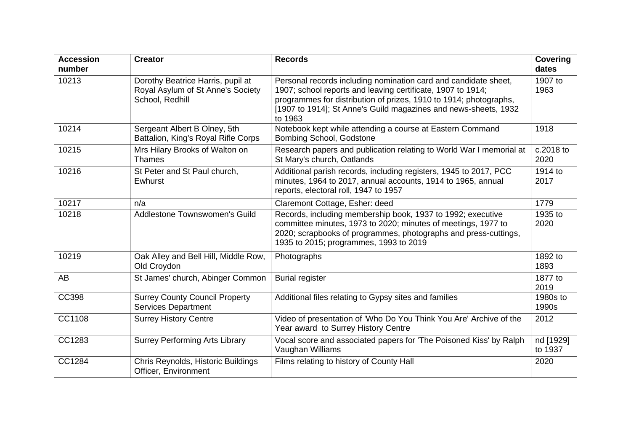| <b>Accession</b><br>number | <b>Creator</b>                                                                            | <b>Records</b>                                                                                                                                                                                                                                                                    | <b>Covering</b><br>dates |
|----------------------------|-------------------------------------------------------------------------------------------|-----------------------------------------------------------------------------------------------------------------------------------------------------------------------------------------------------------------------------------------------------------------------------------|--------------------------|
| 10213                      | Dorothy Beatrice Harris, pupil at<br>Royal Asylum of St Anne's Society<br>School, Redhill | Personal records including nomination card and candidate sheet,<br>1907; school reports and leaving certificate, 1907 to 1914;<br>programmes for distribution of prizes, 1910 to 1914; photographs,<br>[1907 to 1914]; St Anne's Guild magazines and news-sheets, 1932<br>to 1963 | 1907 to<br>1963          |
| 10214                      | Sergeant Albert B Olney, 5th<br>Battalion, King's Royal Rifle Corps                       | Notebook kept while attending a course at Eastern Command<br><b>Bombing School, Godstone</b>                                                                                                                                                                                      | 1918                     |
| 10215                      | Mrs Hilary Brooks of Walton on<br><b>Thames</b>                                           | Research papers and publication relating to World War I memorial at<br>St Mary's church, Oatlands                                                                                                                                                                                 | c.2018 to<br>2020        |
| 10216                      | St Peter and St Paul church,<br>Ewhurst                                                   | Additional parish records, including registers, 1945 to 2017, PCC<br>minutes, 1964 to 2017, annual accounts, 1914 to 1965, annual<br>reports, electoral roll, 1947 to 1957                                                                                                        | 1914 to<br>2017          |
| 10217                      | n/a                                                                                       | Claremont Cottage, Esher: deed                                                                                                                                                                                                                                                    | 1779                     |
| 10218                      | Addlestone Townswomen's Guild                                                             | Records, including membership book, 1937 to 1992; executive<br>committee minutes, 1973 to 2020; minutes of meetings, 1977 to<br>2020; scrapbooks of programmes, photographs and press-cuttings,<br>1935 to 2015; programmes, 1993 to 2019                                         | 1935 to<br>2020          |
| 10219                      | Oak Alley and Bell Hill, Middle Row,<br>Old Croydon                                       | Photographs                                                                                                                                                                                                                                                                       | 1892 to<br>1893          |
| <b>AB</b>                  | St James' church, Abinger Common                                                          | <b>Burial register</b>                                                                                                                                                                                                                                                            | 1877 to<br>2019          |
| <b>CC398</b>               | <b>Surrey County Council Property</b><br><b>Services Department</b>                       | Additional files relating to Gypsy sites and families                                                                                                                                                                                                                             | 1980s to<br>1990s        |
| CC1108                     | <b>Surrey History Centre</b>                                                              | Video of presentation of 'Who Do You Think You Are' Archive of the<br>Year award to Surrey History Centre                                                                                                                                                                         | 2012                     |
| CC1283                     | <b>Surrey Performing Arts Library</b>                                                     | Vocal score and associated papers for 'The Poisoned Kiss' by Ralph<br>Vaughan Williams                                                                                                                                                                                            | nd [1929]<br>to 1937     |
| CC1284                     | Chris Reynolds, Historic Buildings<br>Officer, Environment                                | Films relating to history of County Hall                                                                                                                                                                                                                                          | 2020                     |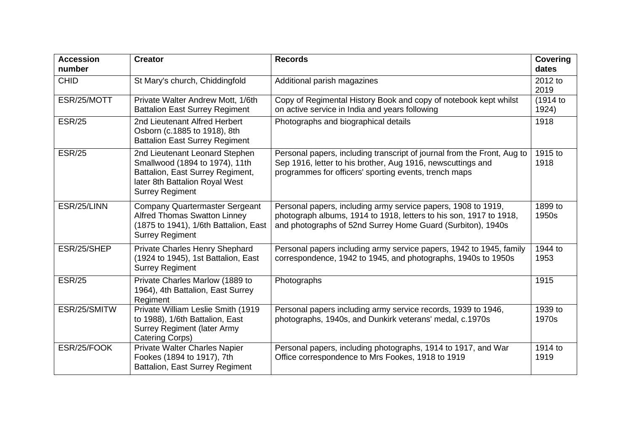| <b>Accession</b><br>number | <b>Creator</b>                                                                                                                                                   | <b>Records</b>                                                                                                                                                                                     | <b>Covering</b><br>dates |
|----------------------------|------------------------------------------------------------------------------------------------------------------------------------------------------------------|----------------------------------------------------------------------------------------------------------------------------------------------------------------------------------------------------|--------------------------|
| <b>CHID</b>                | St Mary's church, Chiddingfold                                                                                                                                   | Additional parish magazines                                                                                                                                                                        | 2012 to<br>2019          |
| ESR/25/MOTT                | Private Walter Andrew Mott, 1/6th<br><b>Battalion East Surrey Regiment</b>                                                                                       | Copy of Regimental History Book and copy of notebook kept whilst<br>on active service in India and years following                                                                                 | (1914 to<br>1924)        |
| <b>ESR/25</b>              | 2nd Lieutenant Alfred Herbert<br>Osborn (c.1885 to 1918), 8th<br><b>Battalion East Surrey Regiment</b>                                                           | Photographs and biographical details                                                                                                                                                               | 1918                     |
| <b>ESR/25</b>              | 2nd Lieutenant Leonard Stephen<br>Smallwood (1894 to 1974), 11th<br>Battalion, East Surrey Regiment,<br>later 8th Battalion Royal West<br><b>Surrey Regiment</b> | Personal papers, including transcript of journal from the Front, Aug to<br>Sep 1916, letter to his brother, Aug 1916, newscuttings and<br>programmes for officers' sporting events, trench maps    | 1915 to<br>1918          |
| ESR/25/LINN                | <b>Company Quartermaster Sergeant</b><br><b>Alfred Thomas Swatton Linney</b><br>(1875 to 1941), 1/6th Battalion, East<br><b>Surrey Regiment</b>                  | Personal papers, including army service papers, 1908 to 1919,<br>photograph albums, 1914 to 1918, letters to his son, 1917 to 1918,<br>and photographs of 52nd Surrey Home Guard (Surbiton), 1940s | 1899 to<br>1950s         |
| ESR/25/SHEP                | Private Charles Henry Shephard<br>(1924 to 1945), 1st Battalion, East<br><b>Surrey Regiment</b>                                                                  | Personal papers including army service papers, 1942 to 1945, family<br>correspondence, 1942 to 1945, and photographs, 1940s to 1950s                                                               | 1944 to<br>1953          |
| <b>ESR/25</b>              | Private Charles Marlow (1889 to<br>1964), 4th Battalion, East Surrey<br>Regiment                                                                                 | Photographs                                                                                                                                                                                        | 1915                     |
| ESR/25/SMITW               | Private William Leslie Smith (1919<br>to 1988), 1/6th Battalion, East<br><b>Surrey Regiment (later Army</b><br>Catering Corps)                                   | Personal papers including army service records, 1939 to 1946,<br>photographs, 1940s, and Dunkirk veterans' medal, c.1970s                                                                          | 1939 to<br>1970s         |
| ESR/25/FOOK                | <b>Private Walter Charles Napier</b><br>Fookes (1894 to 1917), 7th<br><b>Battalion, East Surrey Regiment</b>                                                     | Personal papers, including photographs, 1914 to 1917, and War<br>Office correspondence to Mrs Fookes, 1918 to 1919                                                                                 | 1914 to<br>1919          |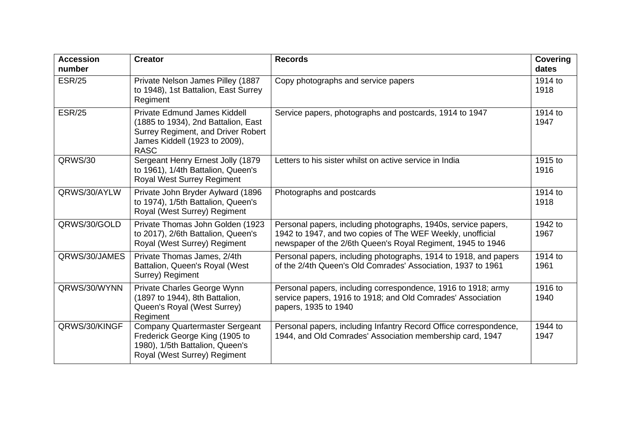| <b>Accession</b><br>number | <b>Creator</b>                                                                                                                                            | <b>Records</b>                                                                                                                                                                              | <b>Covering</b><br>dates |
|----------------------------|-----------------------------------------------------------------------------------------------------------------------------------------------------------|---------------------------------------------------------------------------------------------------------------------------------------------------------------------------------------------|--------------------------|
| <b>ESR/25</b>              | Private Nelson James Pilley (1887<br>to 1948), 1st Battalion, East Surrey<br>Regiment                                                                     | Copy photographs and service papers                                                                                                                                                         | 1914 to<br>1918          |
| <b>ESR/25</b>              | Private Edmund James Kiddell<br>(1885 to 1934), 2nd Battalion, East<br>Surrey Regiment, and Driver Robert<br>James Kiddell (1923 to 2009),<br><b>RASC</b> | Service papers, photographs and postcards, 1914 to 1947                                                                                                                                     | 1914 to<br>1947          |
| QRWS/30                    | Sergeant Henry Ernest Jolly (1879<br>to 1961), 1/4th Battalion, Queen's<br><b>Royal West Surrey Regiment</b>                                              | Letters to his sister whilst on active service in India                                                                                                                                     | 1915 to<br>1916          |
| QRWS/30/AYLW               | Private John Bryder Aylward (1896<br>to 1974), 1/5th Battalion, Queen's<br>Royal (West Surrey) Regiment                                                   | Photographs and postcards                                                                                                                                                                   | 1914 to<br>1918          |
| QRWS/30/GOLD               | Private Thomas John Golden (1923)<br>to 2017), 2/6th Battalion, Queen's<br>Royal (West Surrey) Regiment                                                   | Personal papers, including photographs, 1940s, service papers,<br>1942 to 1947, and two copies of The WEF Weekly, unofficial<br>newspaper of the 2/6th Queen's Royal Regiment, 1945 to 1946 | 1942 to<br>1967          |
| QRWS/30/JAMES              | Private Thomas James, 2/4th<br>Battalion, Queen's Royal (West<br>Surrey) Regiment                                                                         | Personal papers, including photographs, 1914 to 1918, and papers<br>of the 2/4th Queen's Old Comrades' Association, 1937 to 1961                                                            | 1914 to<br>1961          |
| QRWS/30/WYNN               | Private Charles George Wynn<br>(1897 to 1944), 8th Battalion,<br>Queen's Royal (West Surrey)<br>Regiment                                                  | Personal papers, including correspondence, 1916 to 1918; army<br>service papers, 1916 to 1918; and Old Comrades' Association<br>papers, 1935 to 1940                                        | 1916 to<br>1940          |
| QRWS/30/KINGF              | <b>Company Quartermaster Sergeant</b><br>Frederick George King (1905 to<br>1980), 1/5th Battalion, Queen's<br>Royal (West Surrey) Regiment                | Personal papers, including Infantry Record Office correspondence,<br>1944, and Old Comrades' Association membership card, 1947                                                              | 1944 to<br>1947          |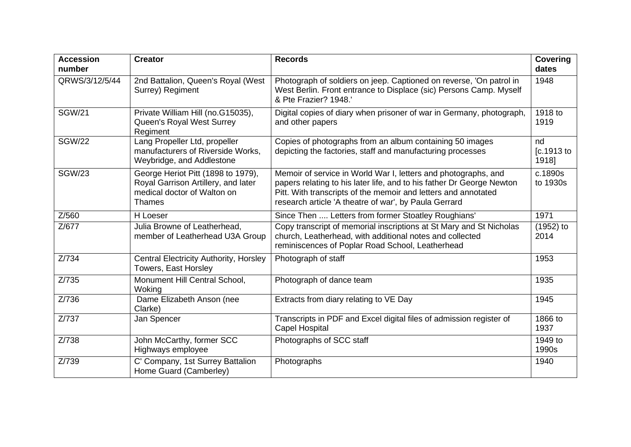| <b>Accession</b><br>number | <b>Creator</b>                                                                                                            | <b>Records</b>                                                                                                                                                                                                                                                     | <b>Covering</b><br>dates  |
|----------------------------|---------------------------------------------------------------------------------------------------------------------------|--------------------------------------------------------------------------------------------------------------------------------------------------------------------------------------------------------------------------------------------------------------------|---------------------------|
| QRWS/3/12/5/44             | 2nd Battalion, Queen's Royal (West<br>Surrey) Regiment                                                                    | Photograph of soldiers on jeep. Captioned on reverse, 'On patrol in<br>West Berlin. Front entrance to Displace (sic) Persons Camp. Myself<br>& Pte Frazier? 1948.'                                                                                                 | 1948                      |
| <b>SGW/21</b>              | Private William Hill (no.G15035),<br>Queen's Royal West Surrey<br>Regiment                                                | Digital copies of diary when prisoner of war in Germany, photograph,<br>and other papers                                                                                                                                                                           | 1918 to<br>1919           |
| <b>SGW/22</b>              | Lang Propeller Ltd, propeller<br>manufacturers of Riverside Works,<br>Weybridge, and Addlestone                           | Copies of photographs from an album containing 50 images<br>depicting the factories, staff and manufacturing processes                                                                                                                                             | nd<br>[c.1913 to<br>1918] |
| <b>SGW/23</b>              | George Heriot Pitt (1898 to 1979),<br>Royal Garrison Artillery, and later<br>medical doctor of Walton on<br><b>Thames</b> | Memoir of service in World War I, letters and photographs, and<br>papers relating to his later life, and to his father Dr George Newton<br>Pitt. With transcripts of the memoir and letters and annotated<br>research article 'A theatre of war', by Paula Gerrard | c.1890s<br>to 1930s       |
| Z/560                      | H Loeser                                                                                                                  | Since Then  Letters from former Stoatley Roughians'                                                                                                                                                                                                                | 1971                      |
| Z/677                      | Julia Browne of Leatherhead,<br>member of Leatherhead U3A Group                                                           | Copy transcript of memorial inscriptions at St Mary and St Nicholas<br>church, Leatherhead, with additional notes and collected<br>reminiscences of Poplar Road School, Leatherhead                                                                                | $(1952)$ to<br>2014       |
| Z/734                      | Central Electricity Authority, Horsley<br>Towers, East Horsley                                                            | Photograph of staff                                                                                                                                                                                                                                                | 1953                      |
| Z/735                      | Monument Hill Central School,<br>Woking                                                                                   | Photograph of dance team                                                                                                                                                                                                                                           | 1935                      |
| Z/736                      | Dame Elizabeth Anson (nee<br>Clarke)                                                                                      | Extracts from diary relating to VE Day                                                                                                                                                                                                                             | 1945                      |
| Z/737                      | Jan Spencer                                                                                                               | Transcripts in PDF and Excel digital files of admission register of<br><b>Capel Hospital</b>                                                                                                                                                                       | 1866 to<br>1937           |
| Z/738                      | John McCarthy, former SCC<br>Highways employee                                                                            | Photographs of SCC staff                                                                                                                                                                                                                                           | 1949 to<br>1990s          |
| Z/739                      | C' Company, 1st Surrey Battalion<br>Home Guard (Camberley)                                                                | Photographs                                                                                                                                                                                                                                                        | 1940                      |